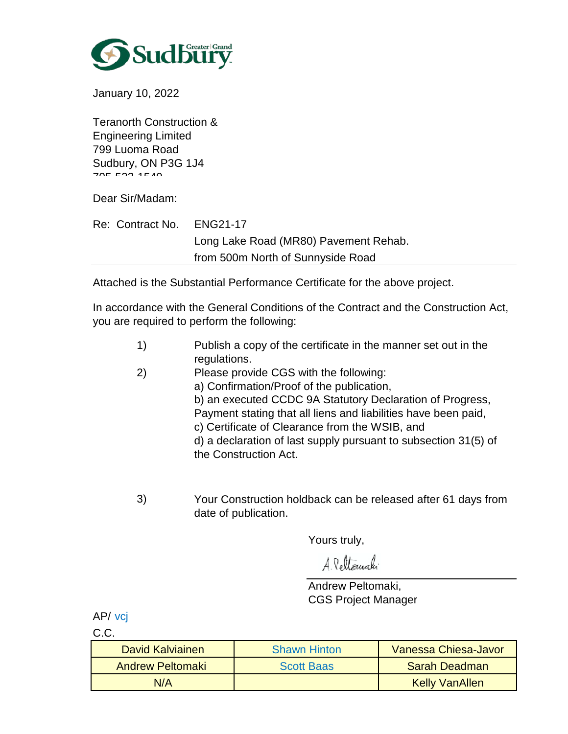

January 10, 2022

Teranorth Construction & Engineering Limited 799 Luoma Road Sudbury, ON P3G 1J4  $705.500$   $4540$ 

Dear Sir/Madam:

| Re: Contract No. | ENG21-17                              |
|------------------|---------------------------------------|
|                  | Long Lake Road (MR80) Pavement Rehab. |
|                  | from 500m North of Sunnyside Road     |

Attached is the Substantial Performance Certificate for the above project.

In accordance with the General Conditions of the Contract and the Construction Act, you are required to perform the following:

|                   | Publish a copy of the certificate in the manner set out in the |
|-------------------|----------------------------------------------------------------|
|                   | regulations.                                                   |
| $\left( 2\right)$ | Please provide CGS with the following:                         |
|                   | a) Confirmation/Proof of the publication,                      |
|                   | b) an executed CCDC 9A Statutory Declaration of Progress,      |

Payment stating that all liens and liabilities have been paid,

c) Certificate of Clearance from the WSIB, and

d) a declaration of last supply pursuant to subsection 31(5) of the Construction Act.

Your Construction holdback can be released after 61 days from date of publication. 3)

Yours truly,

A. Pettomaki

Andrew Peltomaki, CGS Project Manager

AP/ vcj

C.C.

| David Kalviainen        | <b>Shawn Hinton</b> | Vanessa Chiesa-Javor  |
|-------------------------|---------------------|-----------------------|
| <b>Andrew Peltomaki</b> | <b>Scott Baas</b>   | <b>Sarah Deadman</b>  |
| N/A                     |                     | <b>Kelly VanAllen</b> |